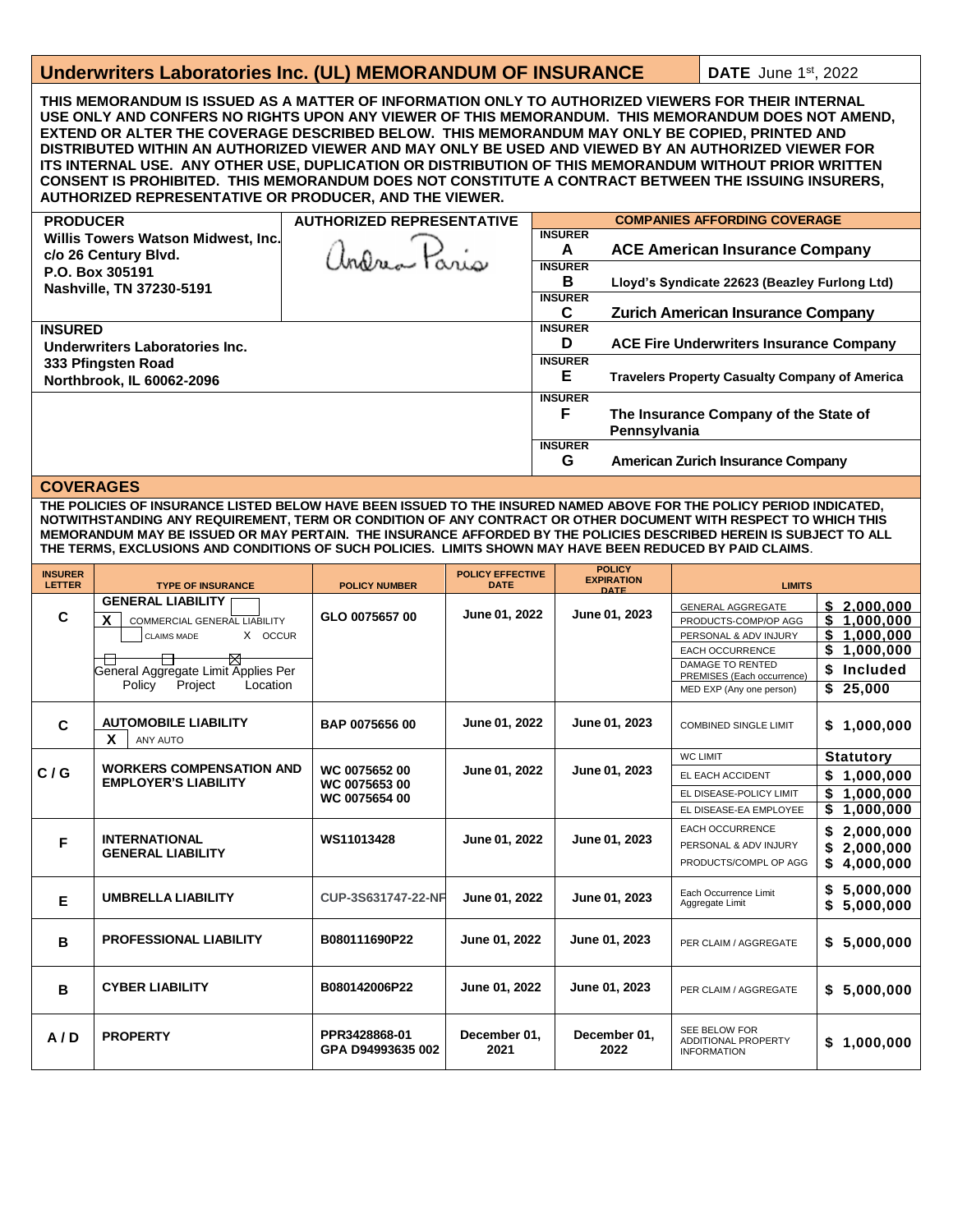## **Underwriters Laboratories Inc. (UL) MEMORANDUM OF INSURANCE | DATE June 1st, 2022**

**THIS MEMORANDUM IS ISSUED AS A MATTER OF INFORMATION ONLY TO AUTHORIZED VIEWERS FOR THEIR INTERNAL USE ONLY AND CONFERS NO RIGHTS UPON ANY VIEWER OF THIS MEMORANDUM. THIS MEMORANDUM DOES NOT AMEND, EXTEND OR ALTER THE COVERAGE DESCRIBED BELOW. THIS MEMORANDUM MAY ONLY BE COPIED, PRINTED AND DISTRIBUTED WITHIN AN AUTHORIZED VIEWER AND MAY ONLY BE USED AND VIEWED BY AN AUTHORIZED VIEWER FOR ITS INTERNAL USE. ANY OTHER USE, DUPLICATION OR DISTRIBUTION OF THIS MEMORANDUM WITHOUT PRIOR WRITTEN CONSENT IS PROHIBITED. THIS MEMORANDUM DOES NOT CONSTITUTE A CONTRACT BETWEEN THE ISSUING INSURERS, AUTHORIZED REPRESENTATIVE OR PRODUCER, AND THE VIEWER.**

| <b>PRODUCER</b>                                                     | <b>AUTHORIZED REPRESENTATIVE</b> | <b>COMPANIES AFFORDING COVERAGE</b> |                                                       |  |  |
|---------------------------------------------------------------------|----------------------------------|-------------------------------------|-------------------------------------------------------|--|--|
| Willis Towers Watson Midwest, Inc.                                  |                                  | <b>INSURER</b>                      |                                                       |  |  |
| c/o 26 Century Blvd.<br>P.O. Box 305191<br>Nashville, TN 37230-5191 |                                  | A                                   | <b>ACE American Insurance Company</b>                 |  |  |
|                                                                     |                                  | <b>INSURER</b>                      |                                                       |  |  |
|                                                                     |                                  | В                                   | Lloyd's Syndicate 22623 (Beazley Furlong Ltd)         |  |  |
|                                                                     |                                  | <b>INSURER</b>                      |                                                       |  |  |
|                                                                     |                                  | C                                   | <b>Zurich American Insurance Company</b>              |  |  |
| <b>INSURED</b>                                                      |                                  | <b>INSURER</b><br>D                 |                                                       |  |  |
| Underwriters Laboratories Inc.                                      |                                  |                                     | <b>ACE Fire Underwriters Insurance Company</b>        |  |  |
| 333 Pfingsten Road                                                  |                                  |                                     |                                                       |  |  |
| Northbrook, IL 60062-2096                                           |                                  |                                     | <b>Travelers Property Casualty Company of America</b> |  |  |
|                                                                     |                                  | <b>INSURER</b>                      |                                                       |  |  |
|                                                                     |                                  | F                                   | The Insurance Company of the State of                 |  |  |
|                                                                     |                                  |                                     | Pennsylvania                                          |  |  |
|                                                                     |                                  | <b>INSURER</b>                      |                                                       |  |  |
|                                                                     |                                  | G                                   | <b>American Zurich Insurance Company</b>              |  |  |

## **COVERAGES**

**THE POLICIES OF INSURANCE LISTED BELOW HAVE BEEN ISSUED TO THE INSURED NAMED ABOVE FOR THE POLICY PERIOD INDICATED, NOTWITHSTANDING ANY REQUIREMENT, TERM OR CONDITION OF ANY CONTRACT OR OTHER DOCUMENT WITH RESPECT TO WHICH THIS MEMORANDUM MAY BE ISSUED OR MAY PERTAIN. THE INSURANCE AFFORDED BY THE POLICIES DESCRIBED HEREIN IS SUBJECT TO ALL THE TERMS, EXCLUSIONS AND CONDITIONS OF SUCH POLICIES. LIMITS SHOWN MAY HAVE BEEN REDUCED BY PAID CLAIMS.**

| <b>INSURER</b><br><b>LETTER</b> | <b>TYPE OF INSURANCE</b>                                                                                                                                                           | <b>POLICY NUMBER</b>                            | <b>POLICY EFFECTIVE</b><br><b>DATE</b> | <b>POLICY</b><br><b>EXPIRATION</b><br><b>DATE</b> | <b>LIMITS</b>                                                                                                                                                                            |                                                                                                 |
|---------------------------------|------------------------------------------------------------------------------------------------------------------------------------------------------------------------------------|-------------------------------------------------|----------------------------------------|---------------------------------------------------|------------------------------------------------------------------------------------------------------------------------------------------------------------------------------------------|-------------------------------------------------------------------------------------------------|
| C                               | <b>GENERAL LIABILITY</b><br>X<br><b>COMMERCIAL GENERAL LIABILITY</b><br>X OCCUR<br><b>CLAIMS MADE</b><br>₩<br>General Aggregate Limit Applies Per<br>Policy<br>Project<br>Location | GLO 0075657 00                                  | June 01, 2022                          | June 01, 2023                                     | <b>GENERAL AGGREGATE</b><br>PRODUCTS-COMP/OP AGG<br>PERSONAL & ADV INJURY<br><b>EACH OCCURRENCE</b><br><b>DAMAGE TO RENTED</b><br>PREMISES (Each occurrence)<br>MED EXP (Any one person) | \$2.000.000<br>\$<br>1.000.000<br>\$<br>1,000,000<br>\$<br>1,000,000<br>\$ Included<br>\$25,000 |
| C                               | <b>AUTOMOBILE LIABILITY</b><br>X<br><b>ANY AUTO</b>                                                                                                                                | BAP 0075656 00                                  | June 01, 2022                          | June 01, 2023                                     | <b>COMBINED SINGLE LIMIT</b>                                                                                                                                                             | \$1,000,000                                                                                     |
| C/G                             | <b>WORKERS COMPENSATION AND</b><br><b>EMPLOYER'S LIABILITY</b>                                                                                                                     | WC 0075652 00<br>WC 0075653 00<br>WC 0075654 00 | June 01, 2022                          | June 01, 2023                                     | <b>WC LIMIT</b><br>EL EACH ACCIDENT<br>EL DISEASE-POLICY LIMIT<br>EL DISEASE-EA EMPLOYEE                                                                                                 | <b>Statutory</b><br>\$1,000,000<br>1,000,000<br>\$<br>1,000,000                                 |
| F                               | <b>INTERNATIONAL</b><br><b>GENERAL LIABILITY</b>                                                                                                                                   | WS11013428                                      | June 01, 2022                          | June 01, 2023                                     | <b>EACH OCCURRENCE</b><br>PERSONAL & ADV INJURY<br>PRODUCTS/COMPL OP AGG                                                                                                                 | \$<br>2,000,000<br>2,000,000<br>\$<br>4,000,000                                                 |
| E                               | <b>UMBRELLA LIABILITY</b>                                                                                                                                                          | CUP-3S631747-22-NF                              | June 01, 2022                          | June 01, 2023                                     | Each Occurrence Limit<br>Aggregate Limit                                                                                                                                                 | 5,000,000<br>\$<br>\$<br>5,000,000                                                              |
| B                               | <b>PROFESSIONAL LIABILITY</b>                                                                                                                                                      | B080111690P22                                   | June 01, 2022                          | June 01, 2023                                     | PER CLAIM / AGGREGATE                                                                                                                                                                    | \$5,000,000                                                                                     |
| B                               | <b>CYBER LIABILITY</b>                                                                                                                                                             | B080142006P22                                   | June 01, 2022                          | June 01, 2023                                     | PER CLAIM / AGGREGATE                                                                                                                                                                    | \$5,000,000                                                                                     |
| A/D                             | <b>PROPERTY</b>                                                                                                                                                                    | PPR3428868-01<br>GPA D94993635 002              | December 01,<br>2021                   | December 01,<br>2022                              | <b>SEE BELOW FOR</b><br>ADDITIONAL PROPERTY<br><b>INFORMATION</b>                                                                                                                        | \$1.000.000                                                                                     |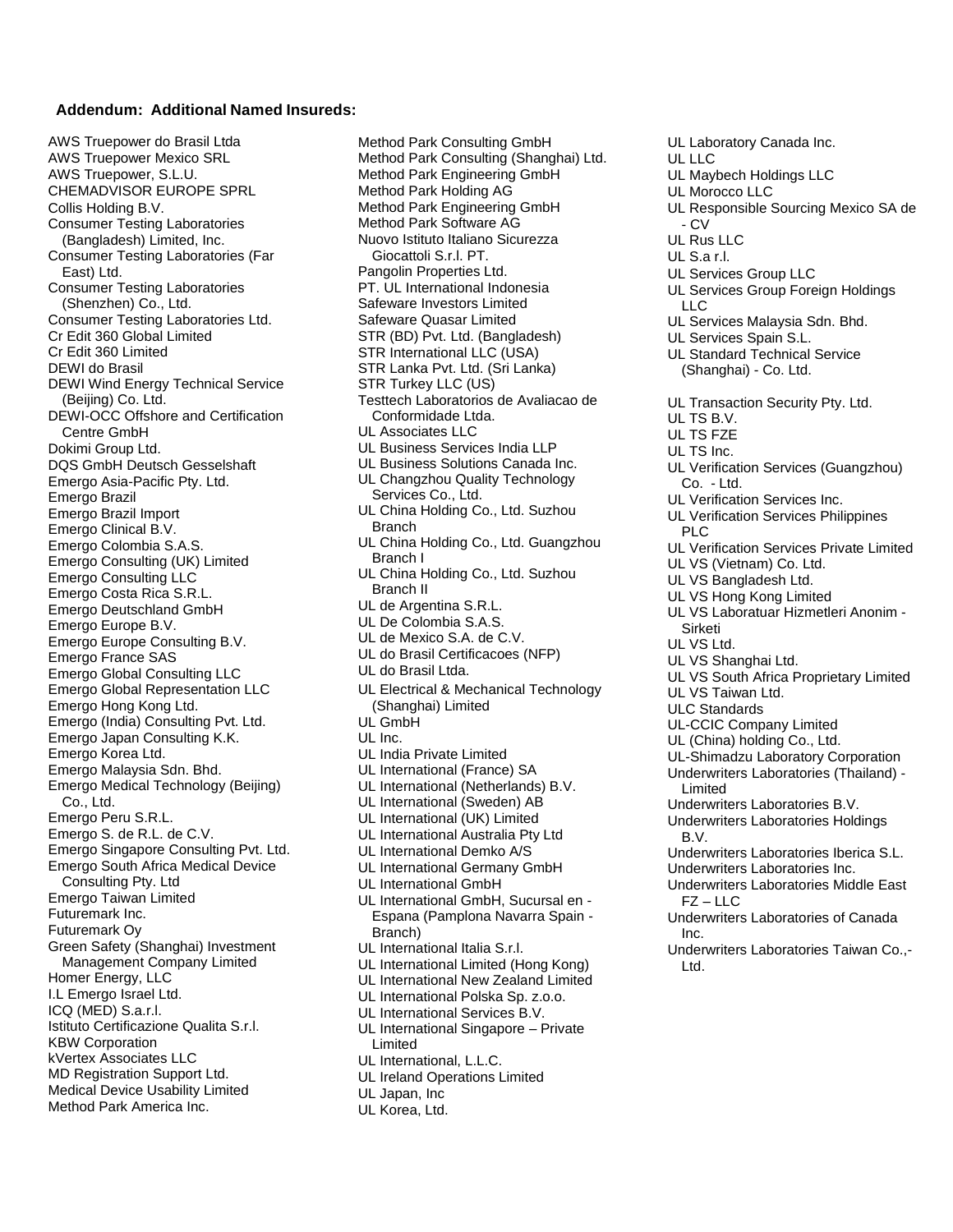## **Addendum: Additional Named Insureds:**

AWS Truepower do Brasil Ltda AWS Truepower Mexico SRL AWS Truepower, S.L.U. CHEMADVISOR EUROPE SPRL Collis Holding B.V. Consumer Testing Laboratories (Bangladesh) Limited, Inc. Consumer Testing Laboratories (Far East) Ltd. Consumer Testing Laboratories (Shenzhen) Co., Ltd. Consumer Testing Laboratories Ltd. Cr Edit 360 Global Limited Cr Edit 360 Limited DEWI do Brasil DEWI Wind Energy Technical Service (Beijing) Co. Ltd. DEWI-OCC Offshore and Certification Centre GmbH Dokimi Group Ltd. DQS GmbH Deutsch Gesselshaft Emergo Asia-Pacific Pty. Ltd. Emergo Brazil Emergo Brazil Import Emergo Clinical B.V. Emergo Colombia S.A.S. Emergo Consulting (UK) Limited Emergo Consulting LLC Emergo Costa Rica S.R.L. Emergo Deutschland GmbH Emergo Europe B.V. Emergo Europe Consulting B.V. Emergo France SAS Emergo Global Consulting LLC Emergo Global Representation LLC Emergo Hong Kong Ltd. Emergo (India) Consulting Pvt. Ltd. Emergo Japan Consulting K.K. Emergo Korea Ltd. Emergo Malaysia Sdn. Bhd. Emergo Medical Technology (Beijing) Co., Ltd. Emergo Peru S.R.L. Emergo S. de R.L. de C.V. Emergo Singapore Consulting Pvt. Ltd. Emergo South Africa Medical Device Consulting Pty. Ltd Emergo Taiwan Limited Futuremark Inc. Futuremark Oy Green Safety (Shanghai) Investment Management Company Limited Homer Energy, LLC I.L Emergo Israel Ltd. ICQ (MED) S.a.r.l. Istituto Certificazione Qualita S.r.l. KBW Corporation kVertex Associates LLC MD Registration Support Ltd. Medical Device Usability Limited Method Park America Inc.

Method Park Consulting GmbH Method Park Consulting (Shanghai) Ltd. Method Park Engineering GmbH Method Park Holding AG Method Park Engineering GmbH Method Park Software AG Nuovo Istituto Italiano Sicurezza Giocattoli S.r.l. PT. Pangolin Properties Ltd. PT. UL International Indonesia Safeware Investors Limited Safeware Quasar Limited STR (BD) Pvt. Ltd. (Bangladesh) STR International LLC (USA) STR Lanka Pvt. Ltd. (Sri Lanka) STR Turkey LLC (US) Testtech Laboratorios de Avaliacao de Conformidade Ltda. UL Associates LLC UL Business Services India LLP UL Business Solutions Canada Inc. UL Changzhou Quality Technology Services Co., Ltd. UL China Holding Co., Ltd. Suzhou Branch UL China Holding Co., Ltd. Guangzhou Branch I UL China Holding Co., Ltd. Suzhou Branch II UL de Argentina S.R.L. UL De Colombia S.A.S. UL de Mexico S.A. de C.V. UL do Brasil Certificacoes (NFP) UL do Brasil Ltda. UL Electrical & Mechanical Technology (Shanghai) Limited UL GmbH UL Inc. UL India Private Limited UL International (France) SA UL International (Netherlands) B.V. UL International (Sweden) AB UL International (UK) Limited UL International Australia Pty Ltd UL International Demko A/S UL International Germany GmbH UL International GmbH UL International GmbH, Sucursal en - Espana (Pamplona Navarra Spain - Branch) UL International Italia S.r.l. UL International Limited (Hong Kong) UL International New Zealand Limited UL International Polska Sp. z.o.o. UL International Services B.V. UL International Singapore – Private Limited UL International, L.L.C. UL Ireland Operations Limited UL Japan, Inc UL Korea, Ltd.

UL Laboratory Canada Inc. UL LLC UL Maybech Holdings LLC UL Morocco LLC UL Responsible Sourcing Mexico SA de - CV UL Rus LLC UL S.a r.l. UL Services Group LLC UL Services Group Foreign Holdings LLC UL Services Malaysia Sdn. Bhd. UL Services Spain S.L. UL Standard Technical Service (Shanghai) - Co. Ltd. UL Transaction Security Pty. Ltd. UL TS B.V. UL TS FZE UL TS Inc. UL Verification Services (Guangzhou) Co. - Ltd. UL Verification Services Inc. UL Verification Services Philippines PLC UL Verification Services Private Limited UL VS (Vietnam) Co. Ltd. UL VS Bangladesh Ltd. UL VS Hong Kong Limited UL VS Laboratuar Hizmetleri Anonim - Sirketi UL VS Ltd. UL VS Shanghai Ltd. UL VS South Africa Proprietary Limited UL VS Taiwan Ltd. ULC Standards UL-CCIC Company Limited UL (China) holding Co., Ltd. UL-Shimadzu Laboratory Corporation Underwriters Laboratories (Thailand) - Limited Underwriters Laboratories B.V. Underwriters Laboratories Holdings B.V. Underwriters Laboratories Iberica S.L. Underwriters Laboratories Inc. Underwriters Laboratories Middle East FZ – LLC Underwriters Laboratories of Canada Inc. Underwriters Laboratories Taiwan Co.,- Ltd.